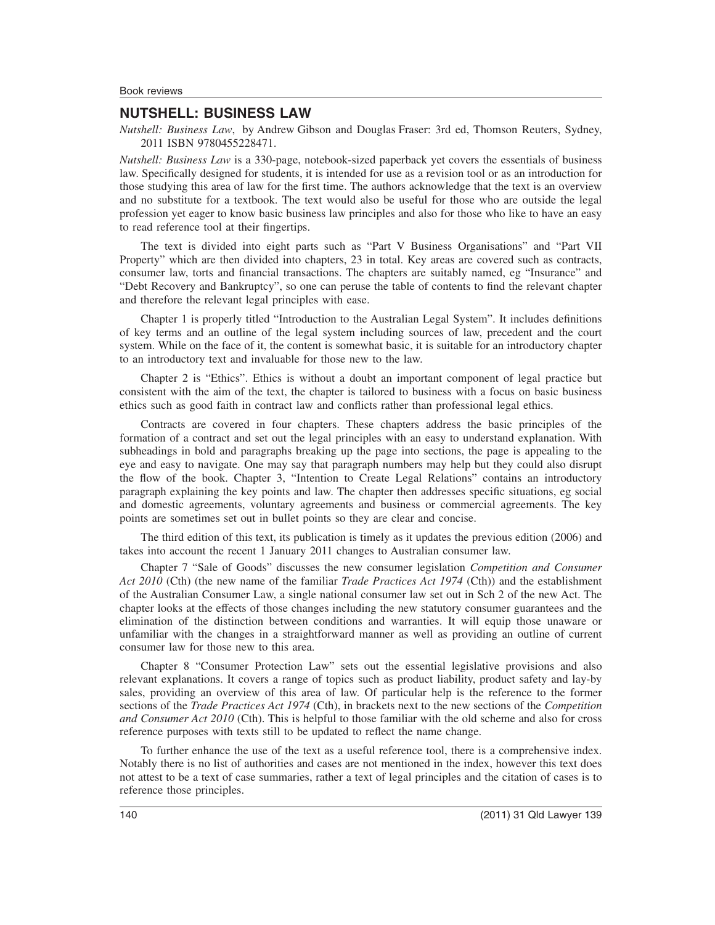## **NUTSHELL: BUSINESS LAW**

*Nutshell: Business Law*, by Andrew Gibson and Douglas Fraser: 3rd ed, Thomson Reuters, Sydney, 2011 ISBN 9780455228471.

*Nutshell: Business Law* is a 330-page, notebook-sized paperback yet covers the essentials of business law. Specifically designed for students, it is intended for use as a revision tool or as an introduction for those studying this area of law for the first time. The authors acknowledge that the text is an overview and no substitute for a textbook. The text would also be useful for those who are outside the legal profession yet eager to know basic business law principles and also for those who like to have an easy to read reference tool at their fingertips.

The text is divided into eight parts such as "Part V Business Organisations" and "Part VII Property" which are then divided into chapters, 23 in total. Key areas are covered such as contracts, consumer law, torts and financial transactions. The chapters are suitably named, eg "Insurance" and "Debt Recovery and Bankruptcy", so one can peruse the table of contents to find the relevant chapter and therefore the relevant legal principles with ease.

Chapter 1 is properly titled "Introduction to the Australian Legal System". It includes definitions of key terms and an outline of the legal system including sources of law, precedent and the court system. While on the face of it, the content is somewhat basic, it is suitable for an introductory chapter to an introductory text and invaluable for those new to the law.

Chapter 2 is "Ethics". Ethics is without a doubt an important component of legal practice but consistent with the aim of the text, the chapter is tailored to business with a focus on basic business ethics such as good faith in contract law and conflicts rather than professional legal ethics.

Contracts are covered in four chapters. These chapters address the basic principles of the formation of a contract and set out the legal principles with an easy to understand explanation. With subheadings in bold and paragraphs breaking up the page into sections, the page is appealing to the eye and easy to navigate. One may say that paragraph numbers may help but they could also disrupt the flow of the book. Chapter 3, "Intention to Create Legal Relations" contains an introductory paragraph explaining the key points and law. The chapter then addresses specific situations, eg social and domestic agreements, voluntary agreements and business or commercial agreements. The key points are sometimes set out in bullet points so they are clear and concise.

The third edition of this text, its publication is timely as it updates the previous edition (2006) and takes into account the recent 1 January 2011 changes to Australian consumer law.

Chapter 7 "Sale of Goods" discusses the new consumer legislation *Competition and Consumer Act 2010* (Cth) (the new name of the familiar *Trade Practices Act 1974* (Cth)) and the establishment of the Australian Consumer Law, a single national consumer law set out in Sch 2 of the new Act. The chapter looks at the effects of those changes including the new statutory consumer guarantees and the elimination of the distinction between conditions and warranties. It will equip those unaware or unfamiliar with the changes in a straightforward manner as well as providing an outline of current consumer law for those new to this area.

Chapter 8 "Consumer Protection Law" sets out the essential legislative provisions and also relevant explanations. It covers a range of topics such as product liability, product safety and lay-by sales, providing an overview of this area of law. Of particular help is the reference to the former sections of the *Trade Practices Act 1974* (Cth), in brackets next to the new sections of the *Competition and Consumer Act 2010* (Cth). This is helpful to those familiar with the old scheme and also for cross reference purposes with texts still to be updated to reflect the name change.

To further enhance the use of the text as a useful reference tool, there is a comprehensive index. Notably there is no list of authorities and cases are not mentioned in the index, however this text does not attest to be a text of case summaries, rather a text of legal principles and the citation of cases is to reference those principles.